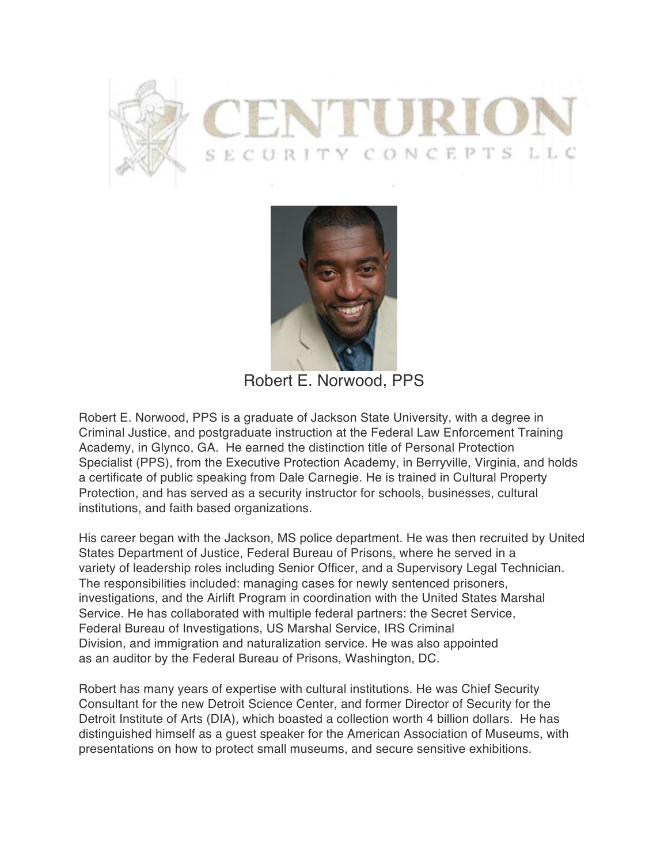



Robert E. Norwood, PPS

Robert E. Norwood, PPS is a graduate of Jackson State University, with a degree in Criminal Justice, and postgraduate instruction at the Federal Law Enforcement Training Academy, in Glynco, GA. He earned the distinction title of Personal Protection Specialist (PPS), from the Executive Protection Academy, in Berryville, Virginia, and holds a certificate of public speaking from Dale Carnegie. He is trained in Cultural Property Protection, and has served as a security instructor for schools, businesses, cultural institutions, and faith based organizations.

His career began with the Jackson, MS police department. He was then recruited by United States Department of Justice, Federal Bureau of Prisons, where he served in a variety of leadership roles including Senior Officer, and a Supervisory Legal Technician. The responsibilities included: managing cases for newly sentenced prisoners, investigations, and the Airlift Program in coordination with the United States Marshal Service. He has collaborated with multiple federal partners: the Secret Service, Federal Bureau of Investigations, US Marshal Service, IRS Criminal Division, and immigration and naturalization service. He was also appointed as an auditor by the Federal Bureau of Prisons, Washington, DC.

Robert has many years of expertise with cultural institutions. He was Chief Security Consultant for the new Detroit Science Center, and former Director of Security for the Detroit Institute of Arts (DIA), which boasted a collection worth 4 billion dollars. He has distinguished himself as a guest speaker for the American Association of Museums, with presentations on how to protect small museums, and secure sensitive exhibitions.